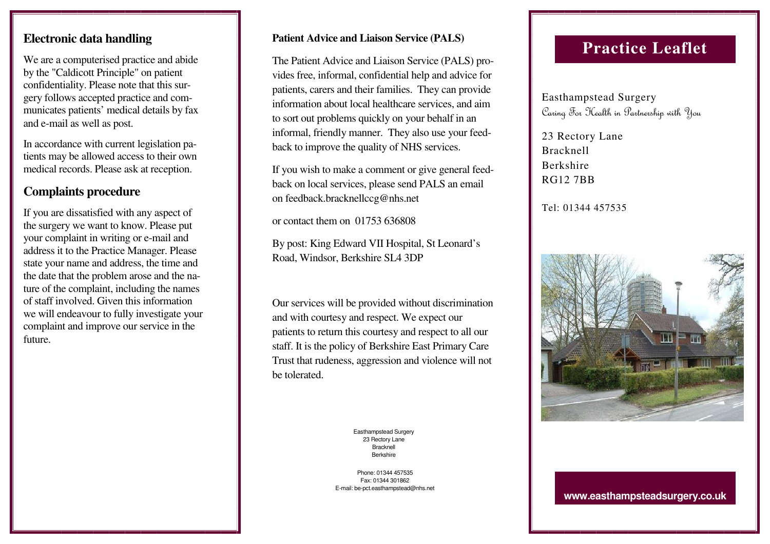## **Electronic data handling**

We are a computerised practice and abide by the "Caldicott Principle" on patient confidentiality. Please note that this surgery follows accepted practice and communicates patients' medical details by fax and e-mail as well as post.

In accordance with current legislation patients may be allowed access to their own medical records. Please ask at reception.

## **Complaints procedure**

If you are dissatisfied with any aspect of the surgery we want to know. Please put your complaint in writing or e-mail and address it to the Practice Manager. Please state your name and address, the time and the date that the problem arose and the nature of the complaint, including the names of staff involved. Given this information we will endeavour to fully investigate your complaint and improve our service in the future.

#### **Patient Advice and Liaison Service (PALS)**

The Patient Advice and Liaison Service (PALS) provides free, informal, confidential help and advice for patients, carers and their families. They can provide information about local healthcare services, and aim to sort out problems quickly on your behalf in an informal, friendly manner. They also use your feedback to improve the quality of NHS services.

If you wish to make a comment or give general feedback on local services, please send PALS an email on feedback.bracknellccg@nhs.net

or contact them on 01753 636808

By post: King Edward VII Hospital, St Leonard's Road, Windsor, Berkshire SL4 3DP

Our services will be provided without discrimination and with courtesy and respect. We expect our patients to return this courtesy and respect to all our staff. It is the policy of Berkshire East Primary Care Trust that rudeness, aggression and violence will not be tolerated.

> Easthampstead Surgery 23 Rectory Lane Bracknell Berkshire

Phone: 01344 457535 Fax: 01344 301862 E-mail: be-pct.easthampstead@nhs.net

# **Practice Leaflet**

Easthampstead Surgery Caring For Health in Partnership with You

23 Rectory Lane Bracknell Berkshire RG12 7BB

#### Tel: 01344 457535



#### **www.easthampsteadsurgery.co.uk**